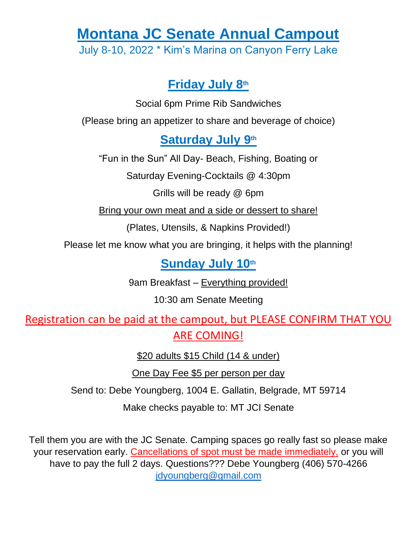# **Montana JC Senate Annual Campout**

July 8-10, 2022 \* Kim's Marina on Canyon Ferry Lake

# **Friday July 8 th**

Social 6pm Prime Rib Sandwiches

(Please bring an appetizer to share and beverage of choice)

### Saturday July 9<sup>th</sup>

"Fun in the Sun" All Day- Beach, Fishing, Boating or

Saturday Evening-Cocktails @ 4:30pm

Grills will be ready @ 6pm

Bring your own meat and a side or dessert to share!

(Plates, Utensils, & Napkins Provided!)

Please let me know what you are bringing, it helps with the planning!

# Sunday July 10<sup>th</sup>

9am Breakfast – Everything provided!

10:30 am Senate Meeting

Registration can be paid at the campout, but PLEASE CONFIRM THAT YOU ARE COMING!

\$20 adults \$15 Child (14 & under)

One Day Fee \$5 per person per day

Send to: Debe Youngberg, 1004 E. Gallatin, Belgrade, MT 59714

Make checks payable to: MT JCI Senate

Tell them you are with the JC Senate. Camping spaces go really fast so please make your reservation early. Cancellations of spot must be made immediately, or you will have to pay the full 2 days. Questions??? Debe Youngberg (406) 570-4266 jdyoungberg@gmail.com